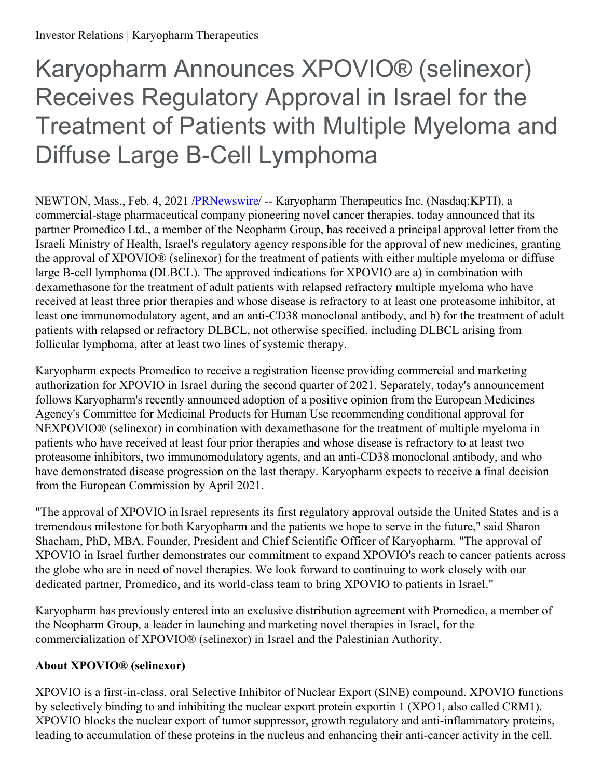# Karyopharm Announces XPOVIO® (selinexor) Receives Regulatory Approval in Israel for the Treatment of Patients with Multiple Myeloma and Diffuse Large B-Cell Lymphoma

NEWTON, Mass., Feb. 4, 2021 [/PRNewswire](http://www.prnewswire.com/)/ -- Karyopharm Therapeutics Inc. (Nasdaq:KPTI), a commercial-stage pharmaceutical company pioneering novel cancer therapies, today announced that its partner Promedico Ltd., a member of the Neopharm Group, has received a principal approval letter from the Israeli Ministry of Health, Israel's regulatory agency responsible for the approval of new medicines, granting the approval of XPOVIO® (selinexor) for the treatment of patients with either multiple myeloma or diffuse large B-cell lymphoma (DLBCL). The approved indications for XPOVIO are a) in combination with dexamethasone for the treatment of adult patients with relapsed refractory multiple myeloma who have received at least three prior therapies and whose disease is refractory to at least one proteasome inhibitor, at least one immunomodulatory agent, and an anti-CD38 monoclonal antibody, and b) for the treatment of adult patients with relapsed or refractory DLBCL, not otherwise specified, including DLBCL arising from follicular lymphoma, after at least two lines of systemic therapy.

Karyopharm expects Promedico to receive a registration license providing commercial and marketing authorization for XPOVIO in Israel during the second quarter of 2021. Separately, today's announcement follows Karyopharm's recently announced adoption of a positive opinion from the European Medicines Agency's Committee for Medicinal Products for Human Use recommending conditional approval for NEXPOVIO® (selinexor) in combination with dexamethasone for the treatment of multiple myeloma in patients who have received at least four prior therapies and whose disease is refractory to at least two proteasome inhibitors, two immunomodulatory agents, and an anti-CD38 monoclonal antibody, and who have demonstrated disease progression on the last therapy. Karyopharm expects to receive a final decision from the European Commission by April 2021.

"The approval of XPOVIO in Israel represents its first regulatory approval outside the United States and is a tremendous milestone for both Karyopharm and the patients we hope to serve in the future," said Sharon Shacham, PhD, MBA, Founder, President and Chief Scientific Officer of Karyopharm. "The approval of XPOVIO in Israel further demonstrates our commitment to expand XPOVIO's reach to cancer patients across the globe who are in need of novel therapies. We look forward to continuing to work closely with our dedicated partner, Promedico, and its world-class team to bring XPOVIO to patients in Israel."

Karyopharm has previously entered into an exclusive distribution agreement with Promedico, a member of the Neopharm Group, a leader in launching and marketing novel therapies in Israel, for the commercialization of XPOVIO® (selinexor) in Israel and the Palestinian Authority.

# **About XPOVIO® (selinexor)**

XPOVIO is a first-in-class, oral Selective Inhibitor of Nuclear Export (SINE) compound. XPOVIO functions by selectively binding to and inhibiting the nuclear export protein exportin 1 (XPO1, also called CRM1). XPOVIO blocks the nuclear export of tumor suppressor, growth regulatory and anti-inflammatory proteins, leading to accumulation of these proteins in the nucleus and enhancing their anti-cancer activity in the cell.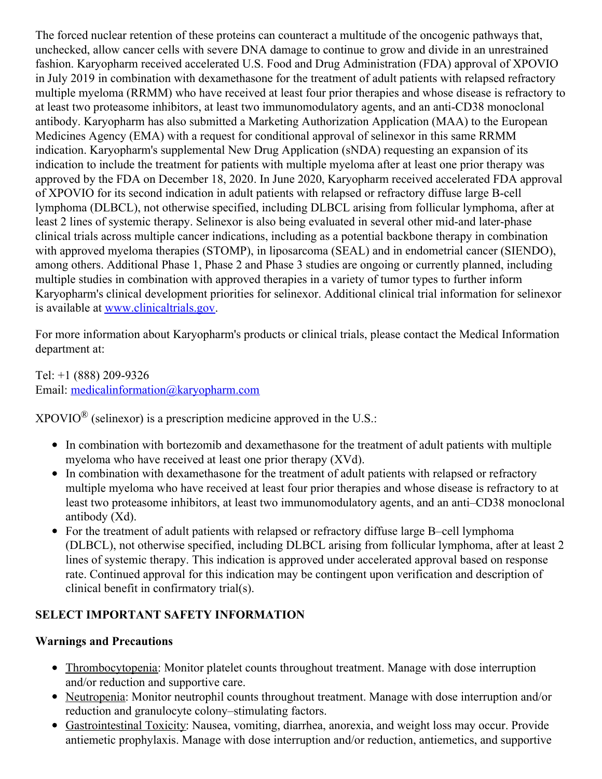The forced nuclear retention of these proteins can counteract a multitude of the oncogenic pathways that, unchecked, allow cancer cells with severe DNA damage to continue to grow and divide in an unrestrained fashion. Karyopharm received accelerated U.S. Food and Drug Administration (FDA) approval of XPOVIO in July 2019 in combination with dexamethasone for the treatment of adult patients with relapsed refractory multiple myeloma (RRMM) who have received at least four prior therapies and whose disease is refractory to at least two proteasome inhibitors, at least two immunomodulatory agents, and an anti-CD38 monoclonal antibody. Karyopharm has also submitted a Marketing Authorization Application (MAA) to the European Medicines Agency (EMA) with a request for conditional approval of selinexor in this same RRMM indication. Karyopharm's supplemental New Drug Application (sNDA) requesting an expansion of its indication to include the treatment for patients with multiple myeloma after at least one prior therapy was approved by the FDA on December 18, 2020. In June 2020, Karyopharm received accelerated FDA approval of XPOVIO for its second indication in adult patients with relapsed or refractory diffuse large B-cell lymphoma (DLBCL), not otherwise specified, including DLBCL arising from follicular lymphoma, after at least 2 lines of systemic therapy. Selinexor is also being evaluated in several other mid-and later-phase clinical trials across multiple cancer indications, including as a potential backbone therapy in combination with approved myeloma therapies (STOMP), in liposarcoma (SEAL) and in endometrial cancer (SIENDO), among others. Additional Phase 1, Phase 2 and Phase 3 studies are ongoing or currently planned, including multiple studies in combination with approved therapies in a variety of tumor types to further inform Karyopharm's clinical development priorities for selinexor. Additional clinical trial information for selinexor is available at [www.clinicaltrials.gov](http://www.clinicaltrials.gov).

For more information about Karyopharm's products or clinical trials, please contact the Medical Information department at:

Tel: +1 (888) 209-9326 Email: [medicalinformation@karyopharm.com](mailto:medicalinformation@karyopharm.com)

 $XPOVIO^{\circledR}$  (selinexor) is a prescription medicine approved in the U.S.:

- In combination with bortezomib and dexamethasone for the treatment of adult patients with multiple myeloma who have received at least one prior therapy (XVd).
- In combination with dexamethasone for the treatment of adult patients with relapsed or refractory multiple myeloma who have received at least four prior therapies and whose disease is refractory to at least two proteasome inhibitors, at least two immunomodulatory agents, and an anti–CD38 monoclonal antibody (Xd).
- For the treatment of adult patients with relapsed or refractory diffuse large B–cell lymphoma (DLBCL), not otherwise specified, including DLBCL arising from follicular lymphoma, after at least 2 lines of systemic therapy. This indication is approved under accelerated approval based on response rate. Continued approval for this indication may be contingent upon verification and description of clinical benefit in confirmatory trial(s).

# **SELECT IMPORTANT SAFETY INFORMATION**

### **Warnings and Precautions**

- Thrombocytopenia: Monitor platelet counts throughout treatment. Manage with dose interruption and/or reduction and supportive care.
- Neutropenia: Monitor neutrophil counts throughout treatment. Manage with dose interruption and/or reduction and granulocyte colony–stimulating factors.
- Gastrointestinal Toxicity: Nausea, vomiting, diarrhea, anorexia, and weight loss may occur. Provide antiemetic prophylaxis. Manage with dose interruption and/or reduction, antiemetics, and supportive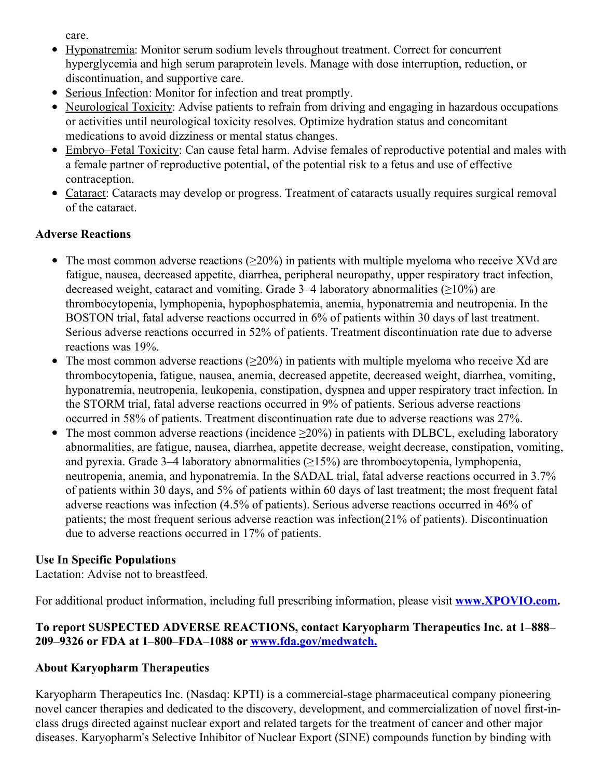care.

- Hyponatremia: Monitor serum sodium levels throughout treatment. Correct for concurrent hyperglycemia and high serum paraprotein levels. Manage with dose interruption, reduction, or discontinuation, and supportive care.
- Serious Infection: Monitor for infection and treat promptly.
- Neurological Toxicity: Advise patients to refrain from driving and engaging in hazardous occupations or activities until neurological toxicity resolves. Optimize hydration status and concomitant medications to avoid dizziness or mental status changes.
- Embryo–Fetal Toxicity: Can cause fetal harm. Advise females of reproductive potential and males with a female partner of reproductive potential, of the potential risk to a fetus and use of effective contraception.
- Cataract: Cataracts may develop or progress. Treatment of cataracts usually requires surgical removal of the cataract.

# **Adverse Reactions**

- $\bullet$  The most common adverse reactions ( $>20\%$ ) in patients with multiple myeloma who receive XVd are fatigue, nausea, decreased appetite, diarrhea, peripheral neuropathy, upper respiratory tract infection, decreased weight, cataract and vomiting. Grade 3–4 laboratory abnormalities (≥10%) are thrombocytopenia, lymphopenia, hypophosphatemia, anemia, hyponatremia and neutropenia. In the BOSTON trial, fatal adverse reactions occurred in 6% of patients within 30 days of last treatment. Serious adverse reactions occurred in 52% of patients. Treatment discontinuation rate due to adverse reactions was 19%.
- The most common adverse reactions  $(\geq 20\%)$  in patients with multiple myeloma who receive Xd are thrombocytopenia, fatigue, nausea, anemia, decreased appetite, decreased weight, diarrhea, vomiting, hyponatremia, neutropenia, leukopenia, constipation, dyspnea and upper respiratory tract infection. In the STORM trial, fatal adverse reactions occurred in 9% of patients. Serious adverse reactions occurred in 58% of patients. Treatment discontinuation rate due to adverse reactions was 27%.
- The most common adverse reactions (incidence  $\geq 20\%$ ) in patients with DLBCL, excluding laboratory abnormalities, are fatigue, nausea, diarrhea, appetite decrease, weight decrease, constipation, vomiting, and pyrexia. Grade 3–4 laboratory abnormalities  $(\geq 15\%)$  are thrombocytopenia, lymphopenia, neutropenia, anemia, and hyponatremia. In the SADAL trial, fatal adverse reactions occurred in 3.7% of patients within 30 days, and 5% of patients within 60 days of last treatment; the most frequent fatal adverse reactions was infection (4.5% of patients). Serious adverse reactions occurred in 46% of patients; the most frequent serious adverse reaction was infection(21% of patients). Discontinuation due to adverse reactions occurred in 17% of patients.

# **Use In Specific Populations**

Lactation: Advise not to breastfeed.

For additional product information, including full prescribing information, please visit **[www.XPOVIO.com](https://c212.net/c/link/?t=0&l=en&o=3057862-1&h=425917622&u=http%3A%2F%2Fwww.xpovio.com%2F&a=www.XPOVIO.com).**

# **To report SUSPECTED ADVERSE REACTIONS, contact Karyopharm Therapeutics Inc. at 1–888– 209–9326 or FDA at 1–800–FDA–1088 or [www.fda.gov/medwatch.](https://c212.net/c/link/?t=0&l=en&o=3057862-1&h=848686117&u=http%3A%2F%2Fwww.fda.gov%2Fmedwatch&a=www.fda.gov%2Fmedwatch.)**

# **About Karyopharm Therapeutics**

Karyopharm Therapeutics Inc. (Nasdaq: KPTI) is a commercial-stage pharmaceutical company pioneering novel cancer therapies and dedicated to the discovery, development, and commercialization of novel first-inclass drugs directed against nuclear export and related targets for the treatment of cancer and other major diseases. Karyopharm's Selective Inhibitor of Nuclear Export (SINE) compounds function by binding with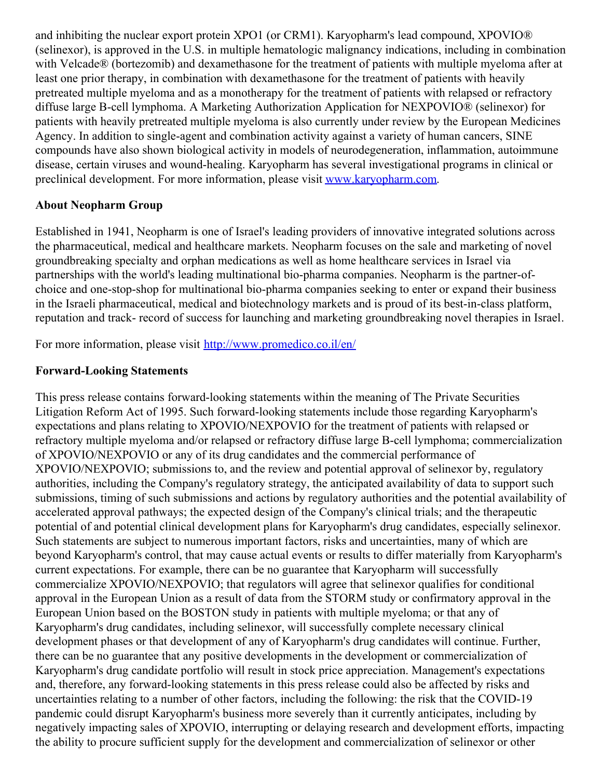and inhibiting the nuclear export protein XPO1 (or CRM1). Karyopharm's lead compound, XPOVIO® (selinexor), is approved in the U.S. in multiple hematologic malignancy indications, including in combination with Velcade® (bortezomib) and dexamethasone for the treatment of patients with multiple myeloma after at least one prior therapy, in combination with dexamethasone for the treatment of patients with heavily pretreated multiple myeloma and as a monotherapy for the treatment of patients with relapsed or refractory diffuse large B-cell lymphoma. A Marketing Authorization Application for NEXPOVIO® (selinexor) for patients with heavily pretreated multiple myeloma is also currently under review by the European Medicines Agency. In addition to single-agent and combination activity against a variety of human cancers, SINE compounds have also shown biological activity in models of neurodegeneration, inflammation, autoimmune disease, certain viruses and wound-healing. Karyopharm has several investigational programs in clinical or preclinical development. For more information, please visit [www.karyopharm.com](https://c212.net/c/link/?t=0&l=en&o=3057862-1&h=2466806138&u=http%3A%2F%2Fwww.karyopharm.com%2F&a=www.karyopharm.com).

#### **About Neopharm Group**

Established in 1941, Neopharm is one of Israel's leading providers of innovative integrated solutions across the pharmaceutical, medical and healthcare markets. Neopharm focuses on the sale and marketing of novel groundbreaking specialty and orphan medications as well as home healthcare services in Israel via partnerships with the world's leading multinational bio-pharma companies. Neopharm is the partner-ofchoice and one-stop-shop for multinational bio-pharma companies seeking to enter or expand their business in the Israeli pharmaceutical, medical and biotechnology markets and is proud of its best-in-class platform, reputation and track- record of success for launching and marketing groundbreaking novel therapies in Israel.

For more information, please visit [http://www.promedico.co.il/en/](https://c212.net/c/link/?t=0&l=en&o=3057862-1&h=510043847&u=http%3A%2F%2Fwww.promedico.co.il%2Fen%2F&a=http%3A%2F%2Fwww.promedico.co.il%2Fen%2F)

#### **Forward-Looking Statements**

This press release contains forward-looking statements within the meaning of The Private Securities Litigation Reform Act of 1995. Such forward-looking statements include those regarding Karyopharm's expectations and plans relating to XPOVIO/NEXPOVIO for the treatment of patients with relapsed or refractory multiple myeloma and/or relapsed or refractory diffuse large B-cell lymphoma; commercialization of XPOVIO/NEXPOVIO or any of its drug candidates and the commercial performance of XPOVIO/NEXPOVIO; submissions to, and the review and potential approval of selinexor by, regulatory authorities, including the Company's regulatory strategy, the anticipated availability of data to support such submissions, timing of such submissions and actions by regulatory authorities and the potential availability of accelerated approval pathways; the expected design of the Company's clinical trials; and the therapeutic potential of and potential clinical development plans for Karyopharm's drug candidates, especially selinexor. Such statements are subject to numerous important factors, risks and uncertainties, many of which are beyond Karyopharm's control, that may cause actual events or results to differ materially from Karyopharm's current expectations. For example, there can be no guarantee that Karyopharm will successfully commercialize XPOVIO/NEXPOVIO; that regulators will agree that selinexor qualifies for conditional approval in the European Union as a result of data from the STORM study or confirmatory approval in the European Union based on the BOSTON study in patients with multiple myeloma; or that any of Karyopharm's drug candidates, including selinexor, will successfully complete necessary clinical development phases or that development of any of Karyopharm's drug candidates will continue. Further, there can be no guarantee that any positive developments in the development or commercialization of Karyopharm's drug candidate portfolio will result in stock price appreciation. Management's expectations and, therefore, any forward-looking statements in this press release could also be affected by risks and uncertainties relating to a number of other factors, including the following: the risk that the COVID-19 pandemic could disrupt Karyopharm's business more severely than it currently anticipates, including by negatively impacting sales of XPOVIO, interrupting or delaying research and development efforts, impacting the ability to procure sufficient supply for the development and commercialization of selinexor or other